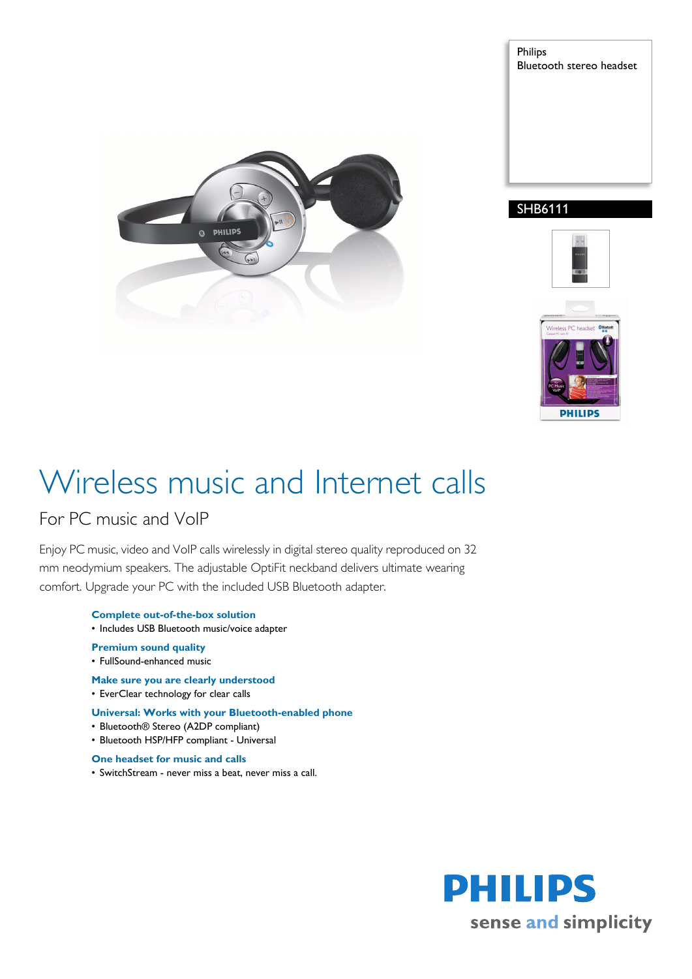

Philips Bluetooth stereo headset







# Wireless music and Internet calls

### For PC music and VoIP

Enjoy PC music, video and VoIP calls wirelessly in digital stereo quality reproduced on 32 mm neodymium speakers. The adjustable OptiFit neckband delivers ultimate wearing comfort. Upgrade your PC with the included USB Bluetooth adapter.

- **Complete out-of-the-box solution** • Includes USB Bluetooth music/voice adapter
- **Premium sound quality**
- FullSound-enhanced music
- **Make sure you are clearly understood**
- EverClear technology for clear calls
- **Universal: Works with your Bluetooth-enabled phone**
- Bluetooth® Stereo (A2DP compliant)
- Bluetooth HSP/HFP compliant Universal
- **One headset for music and calls**
- SwitchStream never miss a beat, never miss a call.